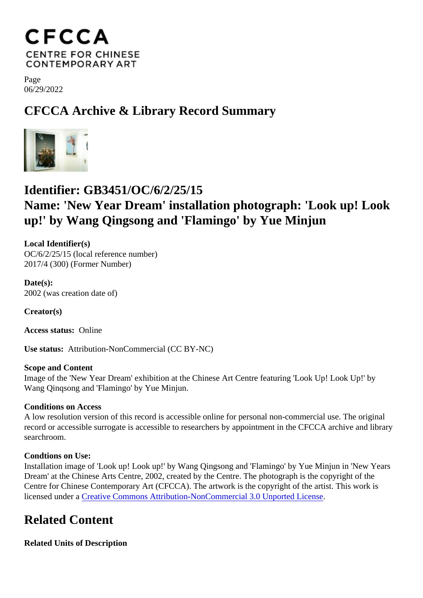Page 06/29/2022

CFCCA Archive & Library Record Summary

## Identifier: GB3451/OC/6/2/25/15

Name: 'New Year Dream' installation photograph: 'Look up! Look up!' by Wang Qingsong and 'Flamingo' by Yue Minjun

Local Identifier(s) OC/6/2/25/15 (local reference number) 2017/4 (300) (Former Number)

Date(s): 2002 (was creation date of)

Creator(s)

Access status: Online

Use status: Attribution-NonCommercial (CC BY-NC)

Scope and Content Image of the 'New Year Dream' exhibition at the Chinese Art Centre featuring 'Look Up! Look Up!' by Wang Qinqsong and 'Flamingo' by Yue Minjun.

Conditions on Access

A low resolution version of this record is accessible online for personal non-commercial use. The original record or accessible surrogate is accessible to researchers by appointment in the CFCCA archive and libr searchroom.

Condtions on Use:

Installation image of 'Look up! Look up!' by Wang Qingsong and 'Flamingo' by Yue Minjun in 'New Years Dream' at the Chinese Arts Centre, 2002, created by the Centre. The photograph is the copyright of the Centre for Chinese Contemporary Art (CFCCA). The artwork is the copyright of the artist. This work is licensed under Greative Commons Attribution-NonCommercial 3.0 Unported License

## Related Content

Related Units of Description